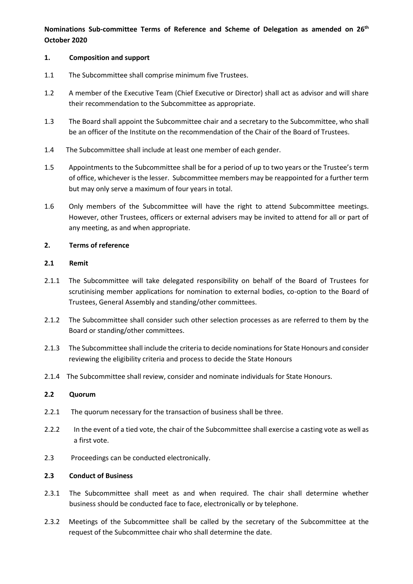# **Nominations Sub-committee Terms of Reference and Scheme of Delegation as amended on 26th October 2020**

### **1. Composition and support**

- 1.1 The Subcommittee shall comprise minimum five Trustees.
- 1.2 A member of the Executive Team (Chief Executive or Director) shall act as advisor and will share their recommendation to the Subcommittee as appropriate.
- 1.3 The Board shall appoint the Subcommittee chair and a secretary to the Subcommittee, who shall be an officer of the Institute on the recommendation of the Chair of the Board of Trustees.
- 1.4 The Subcommittee shall include at least one member of each gender.
- 1.5 Appointments to the Subcommittee shall be for a period of up to two years or the Trustee's term of office, whichever is the lesser. Subcommittee members may be reappointed for a further term but may only serve a maximum of four years in total.
- 1.6 Only members of the Subcommittee will have the right to attend Subcommittee meetings. However, other Trustees, officers or external advisers may be invited to attend for all or part of any meeting, as and when appropriate.

## **2. Terms of reference**

## **2.1 Remit**

- 2.1.1 The Subcommittee will take delegated responsibility on behalf of the Board of Trustees for scrutinising member applications for nomination to external bodies, co-option to the Board of Trustees, General Assembly and standing/other committees.
- 2.1.2 The Subcommittee shall consider such other selection processes as are referred to them by the Board or standing/other committees.
- 2.1.3 The Subcommittee shall include the criteria to decide nominations for State Honours and consider reviewing the eligibility criteria and process to decide the State Honours
- 2.1.4 The Subcommittee shall review, consider and nominate individuals for State Honours.

#### **2.2 Quorum**

- 2.2.1 The quorum necessary for the transaction of business shall be three.
- 2.2.2 In the event of a tied vote, the chair of the Subcommittee shall exercise a casting vote as well as a first vote.
- 2.3 Proceedings can be conducted electronically.

#### **2.3 Conduct of Business**

- 2.3.1 The Subcommittee shall meet as and when required. The chair shall determine whether business should be conducted face to face, electronically or by telephone.
- 2.3.2 Meetings of the Subcommittee shall be called by the secretary of the Subcommittee at the request of the Subcommittee chair who shall determine the date.